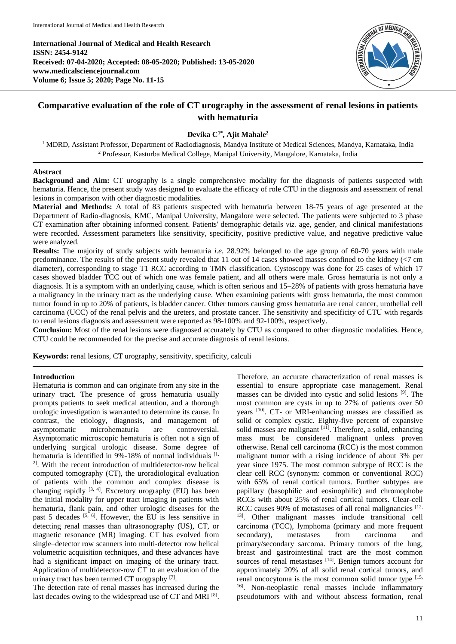**International Journal of Medical and Health Research ISSN: 2454-9142 Received: 07-04-2020; Accepted: 08-05-2020; Published: 13-05-2020 www.medicalsciencejournal.com Volume 6; Issue 5; 2020; Page No. 11-15**



# **Comparative evaluation of the role of CT urography in the assessment of renal lesions in patients with hematuria**

# **Devika C1\* , Ajit Mahale<sup>2</sup>**

<sup>1</sup> MDRD, Assistant Professor, Department of Radiodiagnosis, Mandya Institute of Medical Sciences, Mandya, Karnataka, India <sup>2</sup> Professor, Kasturba Medical College, Manipal University, Mangalore, Karnataka, India

## **Abstract**

**Background and Aim:** CT urography is a single comprehensive modality for the diagnosis of patients suspected with hematuria. Hence, the present study was designed to evaluate the efficacy of role CTU in the diagnosis and assessment of renal lesions in comparison with other diagnostic modalities.

**Material and Methods:** A total of 83 patients suspected with hematuria between 18-75 years of age presented at the Department of Radio-diagnosis, KMC, Manipal University, Mangalore were selected. The patients were subjected to 3 phase CT examination after obtaining informed consent. Patients' demographic details *viz.* age, gender, and clinical manifestations were recorded. Assessment parameters like sensitivity, specificity, positive predictive value, and negative predictive value were analyzed.

**Results:** The majority of study subjects with hematuria *i.e.* 28.92% belonged to the age group of 60-70 years with male predominance. The results of the present study revealed that 11 out of 14 cases showed masses confined to the kidney  $\ll$ 7 cm diameter), corresponding to stage T1 RCC according to TMN classification. Cystoscopy was done for 25 cases of which 17 cases showed bladder TCC out of which one was female patient, and all others were male. Gross hematuria is not only a diagnosis. It is a symptom with an underlying cause, which is often serious and 15–28% of patients with gross hematuria have a malignancy in the urinary tract as the underlying cause. When examining patients with gross hematuria, the most common tumor found in up to 20% of patients, is bladder cancer. Other tumors causing gross hematuria are renal cancer, urothelial cell carcinoma (UCC) of the renal pelvis and the ureters, and prostate cancer. The sensitivity and specificity of CTU with regards to renal lesions diagnosis and assessment were reported as 98-100% and 92-100%, respectively.

**Conclusion:** Most of the renal lesions were diagnosed accurately by CTU as compared to other diagnostic modalities. Hence, CTU could be recommended for the precise and accurate diagnosis of renal lesions.

**Keywords:** renal lesions, CT urography, sensitivity, specificity, calculi

## **Introduction**

Hematuria is common and can originate from any site in the urinary tract. The presence of gross hematuria usually prompts patients to seek medical attention, and a thorough urologic investigation is warranted to determine its cause. In contrast, the etiology, diagnosis, and management of asymptomatic microhematuria are controversial. Asymptomatic microscopic hematuria is often not a sign of underlying surgical urologic disease. Some degree of hematuria is identified in 9%-18% of normal individuals [1, 2] . With the recent introduction of multidetector-row helical computed tomography (CT), the uroradiological evaluation of patients with the common and complex disease is changing rapidly  $[3, 4]$ . Excretory urography (EU) has been the initial modality for upper tract imaging in patients with hematuria, flank pain, and other urologic diseases for the past 5 decades <sup>[5, 6]</sup>. However, the EU is less sensitive in detecting renal masses than ultrasonography (US), CT, or magnetic resonance (MR) imaging. CT has evolved from single–detector row scanners into multi-detector row helical volumetric acquisition techniques, and these advances have had a significant impact on imaging of the urinary tract. Application of multidetector-row CT to an evaluation of the urinary tract has been termed CT urography<sup>[7]</sup>.

The detection rate of renal masses has increased during the last decades owing to the widespread use of CT and MRI<sup>[8]</sup>.

Therefore, an accurate characterization of renal masses is essential to ensure appropriate case management. Renal masses can be divided into cystic and solid lesions [9] . The most common are cysts in up to 27% of patients over 50 years [10] . CT- or MRI-enhancing masses are classified as solid or complex cystic. Eighty-five percent of expansive solid masses are malignant [11]. Therefore, a solid, enhancing mass must be considered malignant unless proven otherwise. Renal cell carcinoma (RCC) is the most common malignant tumor with a rising incidence of about 3% per year since 1975. The most common subtype of RCC is the clear cell RCC (synonym: common or conventional RCC) with 65% of renal cortical tumors. Further subtypes are papillary (basophilic and eosinophilic) and chromophobe RCCs with about 25% of renal cortical tumors. Clear-cell RCC causes 90% of metastases of all renal malignancies  $[12, 12]$ 13] . Other malignant masses include transitional cell carcinoma (TCC), lymphoma (primary and more frequent secondary), metastases from carcinoma and primary/secondary sarcoma. Primary tumors of the lung, breast and gastrointestinal tract are the most common sources of renal metastases [14]. Benign tumors account for approximately 20% of all solid renal cortical tumors, and renal oncocytoma is the most common solid tumor type [15, <sup>16]</sup>. Non-neoplastic renal masses include inflammatory pseudotumors with and without abscess formation, renal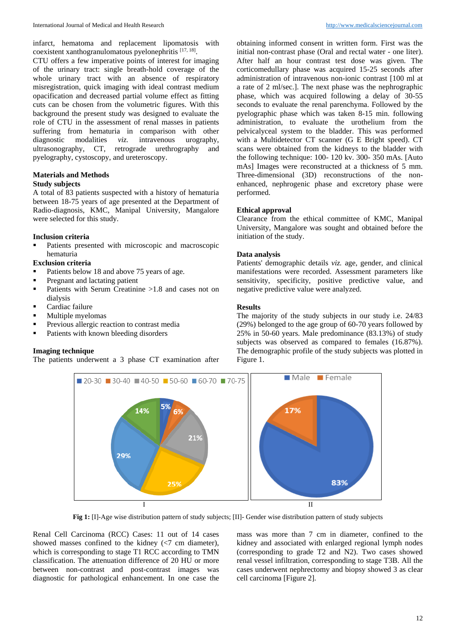infarct, hematoma and replacement lipomatosis with coexistent xanthogranulomatous pyelonephritis [17, 18].

CTU offers a few imperative points of interest for imaging of the urinary tract: single breath-hold coverage of the whole urinary tract with an absence of respiratory misregistration, quick imaging with ideal contrast medium opacification and decreased partial volume effect as fitting cuts can be chosen from the volumetric figures. With this background the present study was designed to evaluate the role of CTU in the assessment of renal masses in patients suffering from hematuria in comparison with other diagnostic modalities *viz.* intravenous urography, ultrasonography, CT, retrograde urethrography and pyelography, cystoscopy, and ureteroscopy.

# **Materials and Methods**

## **Study subjects**

A total of 83 patients suspected with a history of hematuria between 18-75 years of age presented at the Department of Radio-diagnosis, KMC, Manipal University, Mangalore were selected for this study.

#### **Inclusion criteria**

 Patients presented with microscopic and macroscopic hematuria

## **Exclusion criteria**

- Patients below 18 and above 75 years of age.
- **Pregnant and lactating patient**
- Patients with Serum Creatinine  $>1.8$  and cases not on dialysis
- **•** Cardiac failure
- **Multiple myelomas**
- **Previous allergic reaction to contrast media**
- Patients with known bleeding disorders

### **Imaging technique**

The patients underwent a 3 phase CT examination after

obtaining informed consent in written form. First was the initial non-contrast phase (Oral and rectal water - one liter). After half an hour contrast test dose was given. The corticomedullary phase was acquired 15-25 seconds after administration of intravenous non-ionic contrast [100 ml at a rate of 2 ml/sec.]. The next phase was the nephrographic phase, which was acquired following a delay of 30-55 seconds to evaluate the renal parenchyma. Followed by the pyelographic phase which was taken 8-15 min. following administration, to evaluate the urothelium from the pelvicalyceal system to the bladder. This was performed with a Multidetector CT scanner (G E Bright speed). CT scans were obtained from the kidneys to the bladder with the following technique: 100- 120 kv. 300- 350 mAs. [Auto mAs] Images were reconstructed at a thickness of 5 mm. Three-dimensional (3D) reconstructions of the nonenhanced, nephrogenic phase and excretory phase were performed.

#### **Ethical approval**

Clearance from the ethical committee of KMC, Manipal University, Mangalore was sought and obtained before the initiation of the study.

## **Data analysis**

Patients' demographic details *viz.* age, gender, and clinical manifestations were recorded. Assessment parameters like sensitivity, specificity, positive predictive value, and negative predictive value were analyzed.

#### **Results**

The majority of the study subjects in our study i.e. 24/83 (29%) belonged to the age group of 60-70 years followed by 25% in 50-60 years. Male predominance (83.13%) of study subjects was observed as compared to females (16.87%). The demographic profile of the study subjects was plotted in Figure 1.



**Fig 1:** [I]-Age wise distribution pattern of study subjects; [II]- Gender wise distribution pattern of study subjects

Renal Cell Carcinoma (RCC) Cases: 11 out of 14 cases showed masses confined to the kidney (<7 cm diameter), which is corresponding to stage T1 RCC according to TMN classification. The attenuation difference of 20 HU or more between non-contrast and post-contrast images was diagnostic for pathological enhancement. In one case the

mass was more than 7 cm in diameter, confined to the kidney and associated with enlarged regional lymph nodes (corresponding to grade T2 and N2). Two cases showed renal vessel infiltration, corresponding to stage T3B. All the cases underwent nephrectomy and biopsy showed 3 as clear cell carcinoma [Figure 2].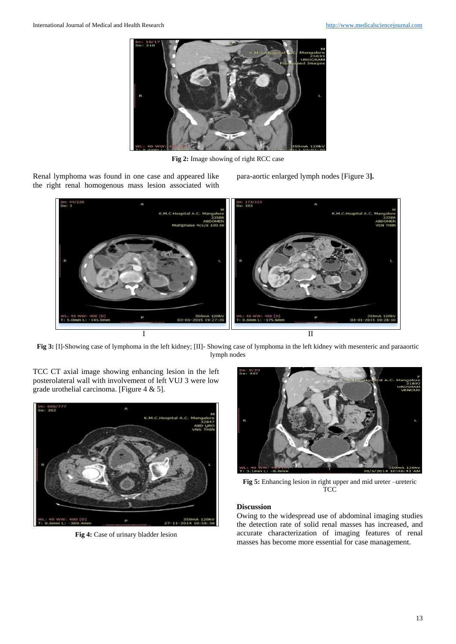

**Fig 2:** Image showing of right RCC case

Renal lymphoma was found in one case and appeared like the right renal homogenous mass lesion associated with para-aortic enlarged lymph nodes [Figure 3**].** 



**Fig 3:** [I]-Showing case of lymphoma in the left kidney; [II]- Showing case of lymphoma in the left kidney with mesenteric and paraaortic lymph nodes

TCC CT axial image showing enhancing lesion in the left posterolateral wall with involvement of left VUJ 3 were low grade urothelial carcinoma. [Figure  $4 \& 5$ ].



**Fig 4:** Case of urinary bladder lesion



**Fig 5:** Enhancing lesion in right upper and mid ureter –ureteric **TCC** 

## **Discussion**

Owing to the widespread use of abdominal imaging studies the detection rate of solid renal masses has increased, and accurate characterization of imaging features of renal masses has become more essential for case management.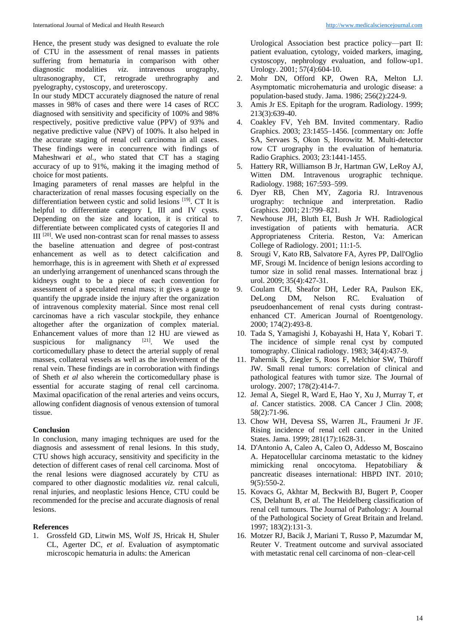Hence, the present study was designed to evaluate the role of CTU in the assessment of renal masses in patients suffering from hematuria in comparison with other diagnostic modalities *viz.* intravenous urography, ultrasonography, CT, retrograde urethrography and pyelography, cystoscopy, and ureteroscopy.

In our study MDCT accurately diagnosed the nature of renal masses in 98% of cases and there were 14 cases of RCC diagnosed with sensitivity and specificity of 100% and 98% respectively, positive predictive value (PPV) of 93% and negative predictive value (NPV) of 100%. It also helped in the accurate staging of renal cell carcinoma in all cases. These findings were in concurrence with findings of Maheshwari *et al.,* who stated that CT has a staging accuracy of up to 91%, making it the imaging method of choice for most patients.

Imaging parameters of renal masses are helpful in the characterization of renal masses focusing especially on the differentiation between cystic and solid lesions [19]. CT It is helpful to differentiate category I, III and IV cysts. Depending on the size and location, it is critical to differentiate between complicated cysts of categories II and III [20] . We used non-contrast scan for renal masses to assess the baseline attenuation and degree of post-contrast enhancement as well as to detect calcification and hemorrhage, this is in agreement with Sheth *et al* expressed an underlying arrangement of unenhanced scans through the kidneys ought to be a piece of each convention for assessment of a speculated renal mass; it gives a gauge to quantify the upgrade inside the injury after the organization of intravenous complexity material. Since most renal cell carcinomas have a rich vascular stockpile, they enhance altogether after the organization of complex material. Enhancement values of more than 12 HU are viewed as suspicious for malignancy [21]. We used the corticomedullary phase to detect the arterial supply of renal masses, collateral vessels as well as the involvement of the renal vein. These findings are in corroboration with findings of Sheth *et al* also wherein the corticomedullary phase is essential for accurate staging of renal cell carcinoma. Maximal opacification of the renal arteries and veins occurs, allowing confident diagnosis of venous extension of tumoral tissue.

# **Conclusion**

In conclusion, many imaging techniques are used for the diagnosis and assessment of renal lesions. In this study, CTU shows high accuracy, sensitivity and specificity in the detection of different cases of renal cell carcinoma. Most of the renal lesions were diagnosed accurately by CTU as compared to other diagnostic modalities *viz.* renal calculi, renal injuries, and neoplastic lesions Hence, CTU could be recommended for the precise and accurate diagnosis of renal lesions.

#### **References**

1. Grossfeld GD, Litwin MS, Wolf JS, Hricak H, Shuler CL, Agerter DC, *et al*. Evaluation of asymptomatic microscopic hematuria in adults: the American

Urological Association best practice policy—part II: patient evaluation, cytology, voided markers, imaging, cystoscopy, nephrology evaluation, and follow-up1. Urology. 2001; 57(4):604-10.

- 2. Mohr DN, Offord KP, Owen RA, Melton LJ. Asymptomatic microhematuria and urologic disease: a population-based study. Jama. 1986; 256(2):224-9.
- 3. Amis Jr ES. Epitaph for the urogram. Radiology. 1999; 213(3):639-40.
- 4. Coakley FV, Yeh BM. Invited commentary. Radio Graphics. 2003; 23:1455–1456. [commentary on: Joffe SA, Servaes S, Okon S, Horowitz M. Multi-detector row CT urography in the evaluation of hematuria. Radio Graphics. 2003; 23:1441-1455.
- 5. Hattery RR, Williamson B Jr, Hartman GW, LeRoy AJ, Witten DM. Intravenous urographic technique. Radiology. 1988; 167:593–599.
- 6. Dyer RB, Chen MY, Zagoria RJ. Intravenous urography: technique and interpretation. Radio Graphics. 2001; 21:799–821.
- 7. Newhouse JH, Bluth EI, Bush Jr WH. Radiological investigation of patients with hematuria. ACR Appropriateness Criteria. Reston, Va: American College of Radiology. 2001; 11:1-5.
- 8. Srougi V, Kato RB, Salvatore FA, Ayres PP, Dall'Oglio MF, Srougi M. Incidence of benign lesions according to tumor size in solid renal masses. International braz j urol. 2009; 35(4):427-31.
- 9. Coulam CH, Sheafor DH, Leder RA, Paulson EK, DeLong DM, Nelson RC. Evaluation of pseudoenhancement of renal cysts during contrastenhanced CT. American Journal of Roentgenology. 2000; 174(2):493-8.
- 10. Tada S, Yamagishi J, Kobayashi H, Hata Y, Kobari T. The incidence of simple renal cyst by computed tomography. Clinical radiology. 1983; 34(4):437-9.
- 11. Pahernik S, Ziegler S, Roos F, Melchior SW, Thüroff JW. Small renal tumors: correlation of clinical and pathological features with tumor size. The Journal of urology. 2007; 178(2):414-7.
- 12. Jemal A, Siegel R, Ward E, Hao Y, Xu J, Murray T, *et al*. Cancer statistics. 2008. CA Cancer J Clin. 2008; 58(2):71-96.
- 13. Chow WH, Devesa SS, Warren JL, Fraumeni Jr JF. Rising incidence of renal cell cancer in the United States. Jama. 1999; 281(17):1628-31.
- 14. D'Antonio A, Caleo A, Caleo O, Addesso M, Boscaino A. Hepatocellular carcinoma metastatic to the kidney mimicking renal oncocytoma. Hepatobiliary & pancreatic diseases international: HBPD INT. 2010; 9(5):550-2.
- 15. Kovacs G, Akhtar M, Beckwith BJ, Bugert P, Cooper CS, Delahunt B, *et al*. The Heidelberg classification of renal cell tumours. The Journal of Pathology: A Journal of the Pathological Society of Great Britain and Ireland. 1997; 183(2):131-3.
- 16. Motzer RJ, Bacik J, Mariani T, Russo P, Mazumdar M, Reuter V. Treatment outcome and survival associated with metastatic renal cell carcinoma of non–clear-cell